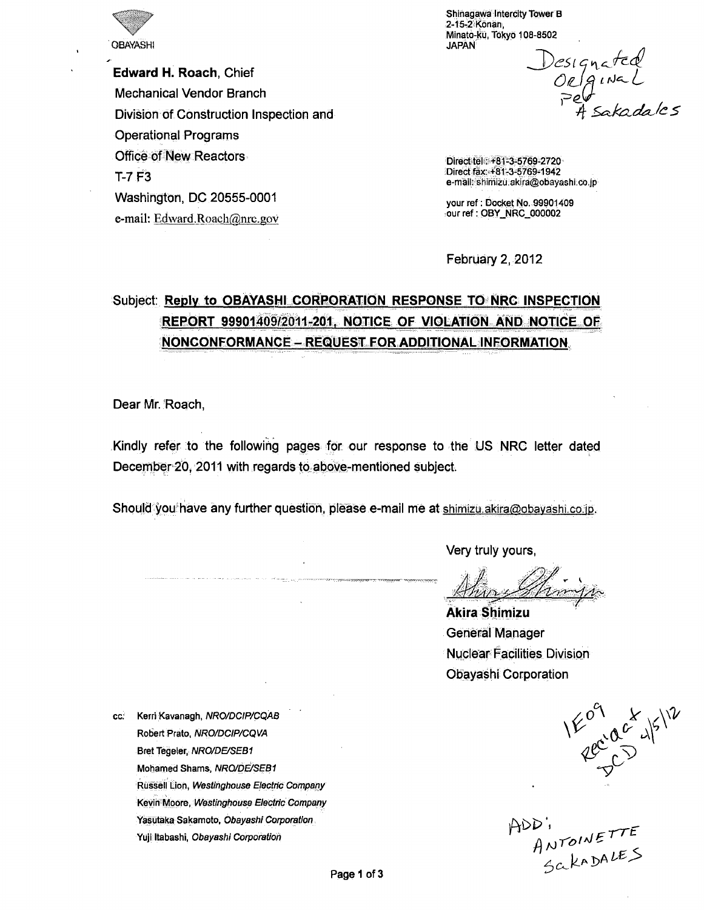

Edward H. Roach, Chief Mechanical Vendor Branch Division of Construction Inspection and Operational Programs Office of New Reactors T-7 F3 Washington, DC 20555-0001 e-mail: Edward.Roach@nrc.gov

Shinagawa Intercity Tower B 2-15-2<sup>'</sup>Konan, Minat0-ku, Tokyo 108-8502 **JAPAN** 

Designated<br>ORlainal<br>Perfakadales

Directtel': **+81-3-5769-2720** Direct fax: +81-3-5769-1942 e-mail: shimizu akira@obayashi.co.jp

your ref: Docket No. 99901409 :our ref: OBY\_NRC\_000002

February 2, 2012

## Subject: Reply to **OBAYASHI** CORPORATION **RESPONSE** TO NRC **INSPECTION** REPORT 9990140912011-201, NOTICE OF **VIOLATION AND: NOTICE OF** NONCONFORMANCE - REQUEST FOR ADDITIONAL INFORMATION,

Dear Mr. Roach,

Kindly refer to the following pages for our response to the US NRC letter dated December 20, 2011 with regards to above-mentioned subject.

Should you have any further question, please e-mail me at shimizu akira@obayashi.co.ip.

Very truly yours,

Akira Shimizu General Manager Nuclear Facilities Division Obayashi Corporation

A *TV* **5CAroA**

cc: Kerri Kavanagh, NRO/DCIP/CQAB Robert Prato, *NRO/DCIP/CQVA* Bret Tegeler, *NRO/DE/SEB1* Mohamed Shams, NRO/DE/SEB1 Russell Lion, *Westinghouse Electric Company* Kevin Moore, Westinghouse Electric Company Yasutaka Sakamoto, *Obayashi Corporation* Yuji Itabashi, *Obayashi Corporation*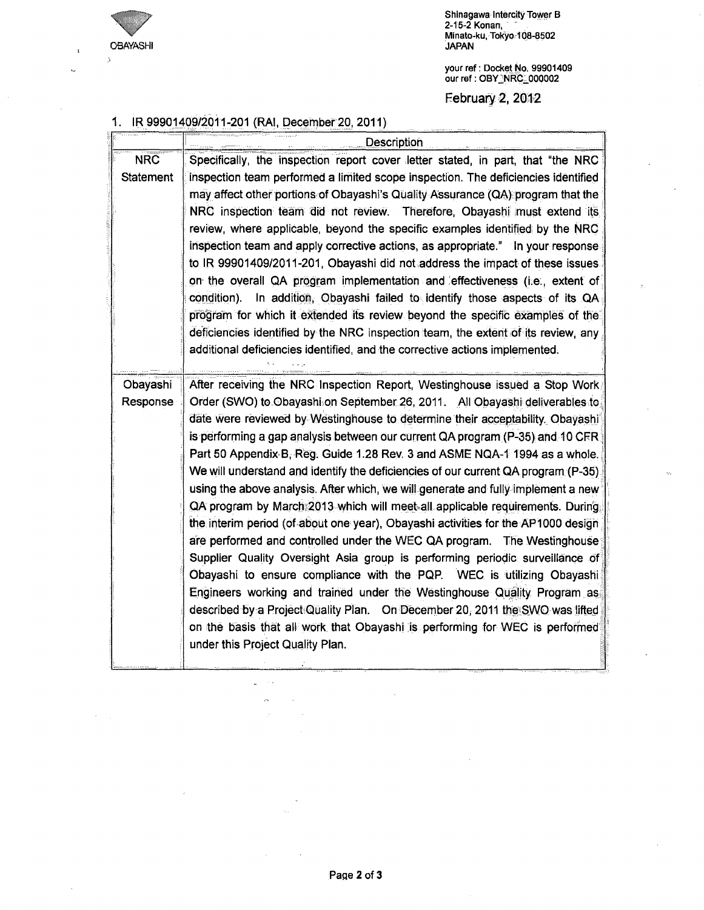**OCBAYASHI**

 $\beta$ 

 $\mathbf{r}$ 

í.

Shinagawa Intercity Tower I **2-15-2** Konan, " Minato-ku, Tokyo 108-850 **JAPA** 

your ref : Docket No. 99901409<br>our ref : OBY\_NRC\_000002

February 2, 2012

## **1.** IR 99901409/2011-201 (RAI, December20, 2011)

|                                | Description                                                                                                                                                                                                                                                                                                                                                                                                                                                                                                                                                                                                                                                                                                                                                                                                                                                                                                                                                                                                                                                                                                                                                                                                                                                                 |
|--------------------------------|-----------------------------------------------------------------------------------------------------------------------------------------------------------------------------------------------------------------------------------------------------------------------------------------------------------------------------------------------------------------------------------------------------------------------------------------------------------------------------------------------------------------------------------------------------------------------------------------------------------------------------------------------------------------------------------------------------------------------------------------------------------------------------------------------------------------------------------------------------------------------------------------------------------------------------------------------------------------------------------------------------------------------------------------------------------------------------------------------------------------------------------------------------------------------------------------------------------------------------------------------------------------------------|
| <b>NRC</b><br><b>Statement</b> | Specifically, the inspection report cover letter stated, in part, that "the NRC<br>inspection team performed a limited scope inspection. The deficiencies identified<br>may affect other portions of Obayashi's Quality Assurance (QA) program that the<br>NRC inspection team did not review. Therefore, Obayashi must extend its<br>review, where applicable, beyond the specific examples identified by the NRC<br>inspection team and apply corrective actions, as appropriate." In your response<br>to IR 99901409/2011-201, Obayashi did not address the impact of these issues.<br>on the overall QA program implementation and effectiveness (i.e., extent of<br>In addition, Obayashi failed to identify those aspects of its QA<br>condition).<br>program for which it extended its review beyond the specific examples of the<br>deficiencies identified by the NRC inspection team, the extent of its review, any<br>additional deficiencies identified, and the corrective actions implemented.                                                                                                                                                                                                                                                                |
| Obayashi<br>Response           | After receiving the NRC Inspection Report, Westinghouse issued a Stop Work<br>Order (SWO) to Obayashi on September 26, 2011. All Obayashi deliverables to<br>date were reviewed by Westinghouse to determine their acceptability. Obayashi<br>is performing a gap analysis between our current QA program (P-35) and 10 CFR<br>Part 50 Appendix B, Reg. Guide 1.28 Rev. 3 and ASME NQA-1 1994 as a whole.<br>We will understand and identify the deficiencies of our current QA program (P-35).<br>using the above analysis. After which, we will generate and fully implement a new<br>QA program by March 2013 which will meet all applicable requirements. During<br>the interim period (of about one year), Obayashi activities for the AP1000 design<br>are performed and controlled under the WEC QA program. The Westinghouse<br>Supplier Quality Oversight Asia group is performing periodic surveillance of<br>Obayashi to ensure compliance with the PQP. WEC is utilizing Obayashi<br>Engineers working and trained under the Westinghouse Quality Program as<br>described by a Project Quality Plan. On December 20, 2011 the SWO was lifted<br>on the basis that all work that Obayashi is performing for WEC is performed<br>under this Project Quality Plan. |

 $\sim$  $\overline{a}$  $\bar{\mathcal{M}}$  $\lambda$